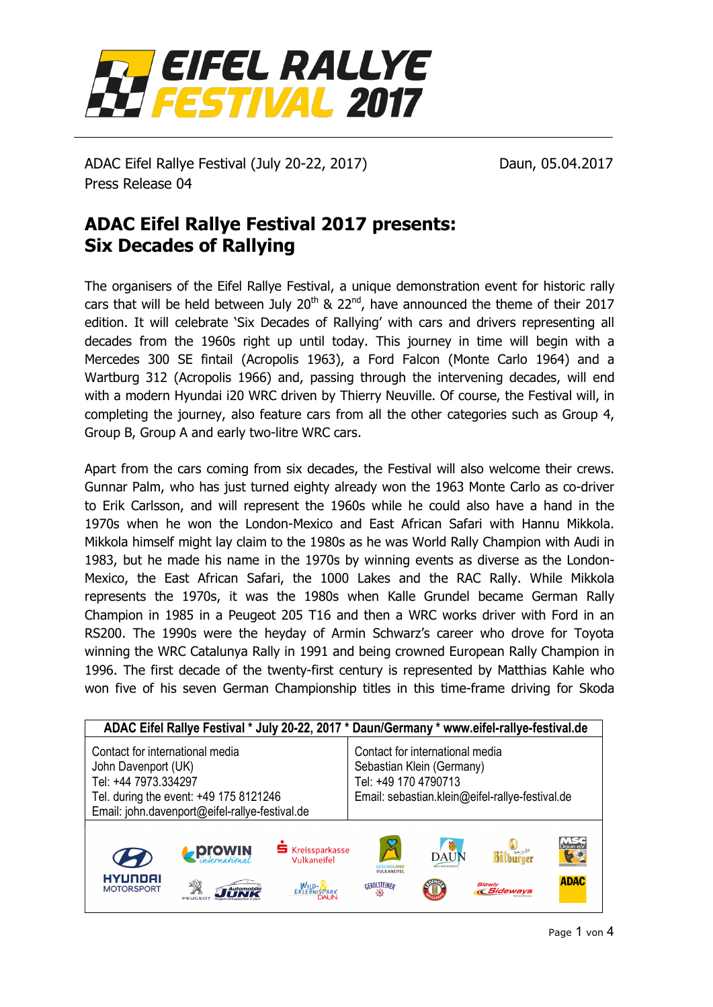

ADAC Eifel Rallye Festival (July 20-22, 2017) Daun, 05.04.2017 Press Release 04

## **ADAC Eifel Rallye Festival 2017 presents: Six Decades of Rallying**

The organisers of the Eifel Rallye Festival, a unique demonstration event for historic rally cars that will be held between July  $20<sup>th</sup>$  &  $22<sup>nd</sup>$ , have announced the theme of their 2017 edition. It will celebrate 'Six Decades of Rallying' with cars and drivers representing all decades from the 1960s right up until today. This journey in time will begin with a Mercedes 300 SE fintail (Acropolis 1963), a Ford Falcon (Monte Carlo 1964) and a Wartburg 312 (Acropolis 1966) and, passing through the intervening decades, will end with a modern Hyundai i20 WRC driven by Thierry Neuville. Of course, the Festival will, in completing the journey, also feature cars from all the other categories such as Group 4, Group B, Group A and early two-litre WRC cars.

Apart from the cars coming from six decades, the Festival will also welcome their crews. Gunnar Palm, who has just turned eighty already won the 1963 Monte Carlo as co-driver to Erik Carlsson, and will represent the 1960s while he could also have a hand in the 1970s when he won the London-Mexico and East African Safari with Hannu Mikkola. Mikkola himself might lay claim to the 1980s as he was World Rally Champion with Audi in 1983, but he made his name in the 1970s by winning events as diverse as the London-Mexico, the East African Safari, the 1000 Lakes and the RAC Rally. While Mikkola represents the 1970s, it was the 1980s when Kalle Grundel became German Rally Champion in 1985 in a Peugeot 205 T16 and then a WRC works driver with Ford in an RS200. The 1990s were the heyday of Armin Schwarz's career who drove for Toyota winning the WRC Catalunya Rally in 1991 and being crowned European Rally Champion in 1996. The first decade of the twenty-first century is represented by Matthias Kahle who won five of his seven German Championship titles in this time-frame driving for Skoda

| ADAC Eifel Rallye Festival * July 20-22, 2017 * Daun/Germany * www.eifel-rallye-festival.de                                                                                |               |                                                          |                                                                                                                                         |                |                                                        |                              |  |
|----------------------------------------------------------------------------------------------------------------------------------------------------------------------------|---------------|----------------------------------------------------------|-----------------------------------------------------------------------------------------------------------------------------------------|----------------|--------------------------------------------------------|------------------------------|--|
| Contact for international media<br>John Davenport (UK)<br>Tel: +44 7973.334297<br>Tel. during the event: +49 175 8121246<br>Email: john.davenport@eifel-rallye-festival.de |               |                                                          | Contact for international media<br>Sebastian Klein (Germany)<br>Tel: +49 170 4790713<br>Email: sebastian.klein@eifel-rallye-festival.de |                |                                                        |                              |  |
| HYUNDAI<br><b>MOTORSPORT</b>                                                                                                                                               | <b>ProWIN</b> | <b>S</b> Kreissparkasse<br>Vulkaneifel<br>WILD- <b>R</b> | $\cancel{S}$<br><b>GESUNDLAND</b><br><b>VULKANEIFEL</b><br>GEROLSTEINER                                                                 | 蔘<br>DAUN<br>U | <b>Rithurnoi</b><br><b>Slowly</b><br><b>« Sideways</b> | Daun e.<br>50<br><b>ADAC</b> |  |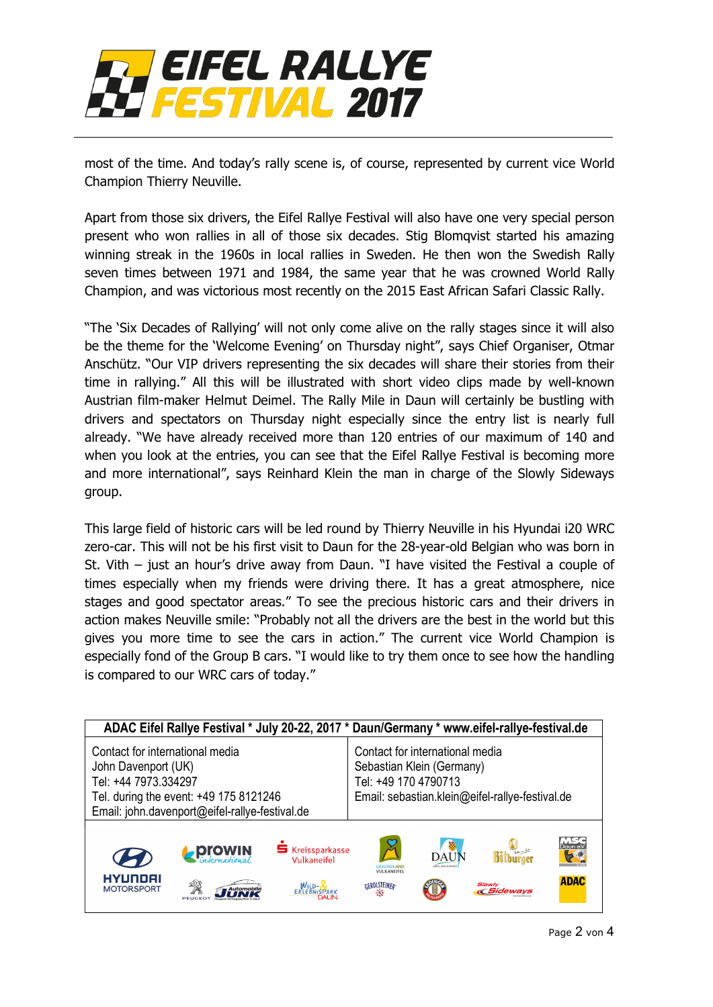

most of the time. And today's rally scene is, of course, represented by current vice World Champion Thierry Neuville.

Apart from those six drivers, the Eifel Rallye Festival will also have one very special person present who won rallies in all of those six decades. Stig Blomqvist started his amazing winning streak in the 1960s in local rallies in Sweden. He then won the Swedish Rally seven times between 1971 and 1984, the same year that he was crowned World Rally Champion, and was victorious most recently on the 2015 East African Safari Classic Rally.

"The 'Six Decades of Rallying' will not only come alive on the rally stages since it will also be the theme for the 'Welcome Evening' on Thursday night", says Chief Organiser, Otmar Anschütz. "Our VIP drivers representing the six decades will share their stories from their time in rallying." All this will be illustrated with short video clips made by well-known Austrian film-maker Helmut Deimel. The Rally Mile in Daun will certainly be bustling with drivers and spectators on Thursday night especially since the entry list is nearly full already. "We have already received more than 120 entries of our maximum of 140 and when you look at the entries, you can see that the Eifel Rallye Festival is becoming more and more international", says Reinhard Klein the man in charge of the Slowly Sideways group.

This large field of historic cars will be led round by Thierry Neuville in his Hyundai i20 WRC zero-car. This will not be his first visit to Daun for the 28-year-old Belgian who was born in St. Vith – just an hour's drive away from Daun. "I have visited the Festival a couple of times especially when my friends were driving there. It has a great atmosphere, nice stages and good spectator areas." To see the precious historic cars and their drivers in action makes Neuville smile: "Probably not all the drivers are the best in the world but this gives you more time to see the cars in action." The current vice World Champion is especially fond of the Group B cars. "I would like to try them once to see how the handling is compared to our WRC cars of today."

| ADAC Eifel Rallye Festival * July 20-22, 2017 * Daun/Germany * www.eifel-rallye-festival.de                                                                                |               |                                                                         |                                                                                                                                         |             |                                    |                                                 |  |
|----------------------------------------------------------------------------------------------------------------------------------------------------------------------------|---------------|-------------------------------------------------------------------------|-----------------------------------------------------------------------------------------------------------------------------------------|-------------|------------------------------------|-------------------------------------------------|--|
| Contact for international media<br>John Davenport (UK)<br>Tel: +44 7973.334297<br>Tel. during the event: +49 175 8121246<br>Email: john.davenport@eifel-rallye-festival.de |               |                                                                         | Contact for international media<br>Sebastian Klein (Germany)<br>Tel: +49 170 4790713<br>Email: sebastian.klein@eifel-rallye-festival.de |             |                                    |                                                 |  |
| HYUNDAI<br><b>MOTORSPORT</b>                                                                                                                                               | <b>ProWIN</b> | <b>S</b> Kreissparkasse<br>Vulkaneifel<br>WILD- <b>N</b><br>ERIFRNISPAR | $\chi$<br><b><i>GESUNDLAND</i></b><br><b>VULKANEIFEL</b><br><b>GEROLSTEINER</b><br>-51                                                  | <b>DAUN</b> | <b>Slowly</b><br><b>« Sideways</b> | <b>MS</b><br>Daun e.<br><b>K</b><br><b>ADAC</b> |  |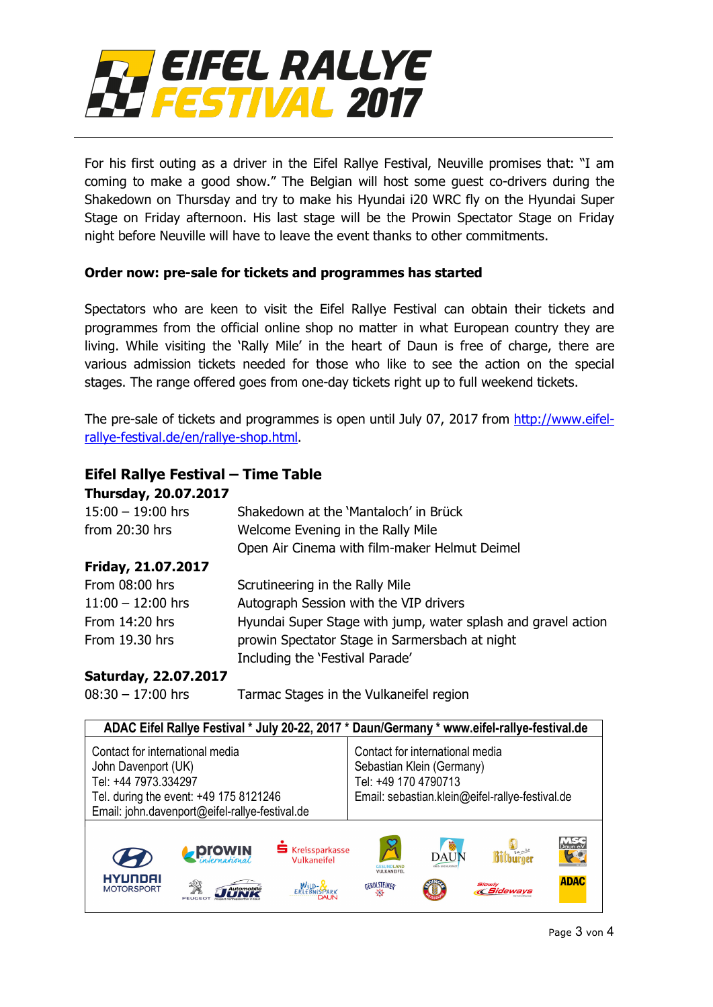

For his first outing as a driver in the Eifel Rallye Festival, Neuville promises that: "I am coming to make a good show." The Belgian will host some guest co-drivers during the Shakedown on Thursday and try to make his Hyundai i20 WRC fly on the Hyundai Super Stage on Friday afternoon. His last stage will be the Prowin Spectator Stage on Friday night before Neuville will have to leave the event thanks to other commitments.

## **Order now: pre-sale for tickets and programmes has started**

Spectators who are keen to visit the Eifel Rallye Festival can obtain their tickets and programmes from the official online shop no matter in what European country they are living. While visiting the 'Rally Mile' in the heart of Daun is free of charge, there are various admission tickets needed for those who like to see the action on the special stages. The range offered goes from one-day tickets right up to full weekend tickets.

The pre-sale of tickets and programmes is open until July 07, 2017 from [http://www.eifel](http://www.eifel-rallye-festival.de/en/rallye-shop.html)[rallye-festival.de/en/rallye-shop.html.](http://www.eifel-rallye-festival.de/en/rallye-shop.html)

## **Eifel Rallye Festival – Time Table**

| <b>Thursday, 20.07.2017</b> |                                                               |
|-----------------------------|---------------------------------------------------------------|
| $15:00 - 19:00$ hrs         | Shakedown at the 'Mantaloch' in Brück                         |
| from $20:30$ hrs            | Welcome Evening in the Rally Mile                             |
|                             | Open Air Cinema with film-maker Helmut Deimel                 |
| Friday, 21.07.2017          |                                                               |
| From 08:00 hrs              | Scrutineering in the Rally Mile                               |
| $11:00 - 12:00$ hrs         | Autograph Session with the VIP drivers                        |
| From 14:20 hrs              | Hyundai Super Stage with jump, water splash and gravel action |
| From 19.30 hrs              | prowin Spectator Stage in Sarmersbach at night                |
|                             | Including the 'Festival Parade'                               |
|                             |                                                               |

## **Saturday, 22.07.2017**

08:30 – 17:00 hrs Tarmac Stages in the Vulkaneifel region

| ADAC Eifel Rallye Festival * July 20-22, 2017 * Daun/Germany * www.eifel-rallye-festival.de                                                                                |               |                                                             |                                                                                                                                         |                                           |                                                    |                                       |  |
|----------------------------------------------------------------------------------------------------------------------------------------------------------------------------|---------------|-------------------------------------------------------------|-----------------------------------------------------------------------------------------------------------------------------------------|-------------------------------------------|----------------------------------------------------|---------------------------------------|--|
| Contact for international media<br>John Davenport (UK)<br>Tel: +44 7973.334297<br>Tel. during the event: +49 175 8121246<br>Email: john.davenport@eifel-rallye-festival.de |               |                                                             | Contact for international media<br>Sebastian Klein (Germany)<br>Tel: +49 170 4790713<br>Email: sebastian.klein@eifel-rallye-festival.de |                                           |                                                    |                                       |  |
| HYUNDAI<br><b>MOTORSPORT</b>                                                                                                                                               | <b>ProWIN</b> | <b>S</b> Kreissparkasse<br>Vulkaneifel<br>$W_{\text{IID-}}$ | $\cancel{2}$<br><b><i>FSUNDLAND</i></b><br><b>VULKANEIFEL</b><br><b>GEROLSTEINER</b><br>-51                                             | ▒<br><b>DAUN</b><br><b>RES-UND KURSTA</b> | $0.98 - 0.4$<br><b>Slowly</b><br><b>« Sideways</b> | <b>MSC</b><br>Daun e.V<br><b>ADAC</b> |  |